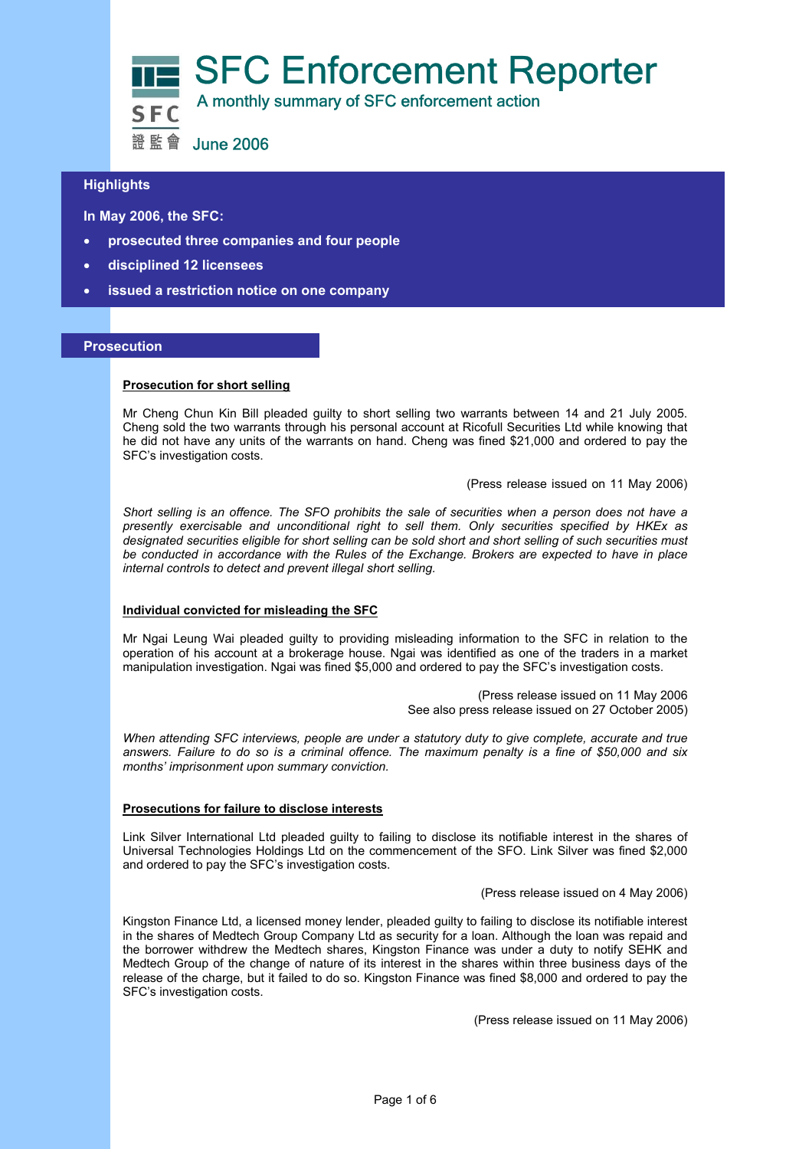

# **Highlights**

 **In May 2006, the SFC:** 

- j • **prosecuted three companies and four people**
- **disciplined 12 licensees**
- **issued a restriction notice on one company**

## **Prosecution**

## **Prosecution for short selling**

Mr Cheng Chun Kin Bill pleaded guilty to short selling two warrants between 14 and 21 July 2005. Cheng sold the two warrants through his personal account at Ricofull Securities Ltd while knowing that he did not have any units of the warrants on hand. Cheng was fined \$21,000 and ordered to pay the SFC's investigation costs.

(Press release issued on 11 May 2006)

*Short selling is an offence. The SFO prohibits the sale of securities when a person does not have a presently exercisable and unconditional right to sell them. Only securities specified by HKEx as designated securities eligible for short selling can be sold short and short selling of such securities must be conducted in accordance with the Rules of the Exchange. Brokers are expected to have in place internal controls to detect and prevent illegal short selling.* 

#### **Individual convicted for misleading the SFC**

Mr Ngai Leung Wai pleaded guilty to providing misleading information to the SFC in relation to the operation of his account at a brokerage house. Ngai was identified as one of the traders in a market manipulation investigation. Ngai was fined \$5,000 and ordered to pay the SFC's investigation costs.

> (Press release issued on 11 May 2006 See also press release issued on 27 October 2005)

*When attending SFC interviews, people are under a statutory duty to give complete, accurate and true answers. Failure to do so is a criminal offence. The maximum penalty is a fine of \$50,000 and six months' imprisonment upon summary conviction.* 

#### **Prosecutions for failure to disclose interests**

Link Silver International Ltd pleaded guilty to failing to disclose its notifiable interest in the shares of Universal Technologies Holdings Ltd on the commencement of the SFO. Link Silver was fined \$2,000 and ordered to pay the SFC's investigation costs.

(Press release issued on 4 May 2006)

Kingston Finance Ltd, a licensed money lender, pleaded guilty to failing to disclose its notifiable interest in the shares of Medtech Group Company Ltd as security for a loan. Although the loan was repaid and the borrower withdrew the Medtech shares, Kingston Finance was under a duty to notify SEHK and Medtech Group of the change of nature of its interest in the shares within three business days of the release of the charge, but it failed to do so. Kingston Finance was fined \$8,000 and ordered to pay the SFC's investigation costs.

(Press release issued on 11 May 2006)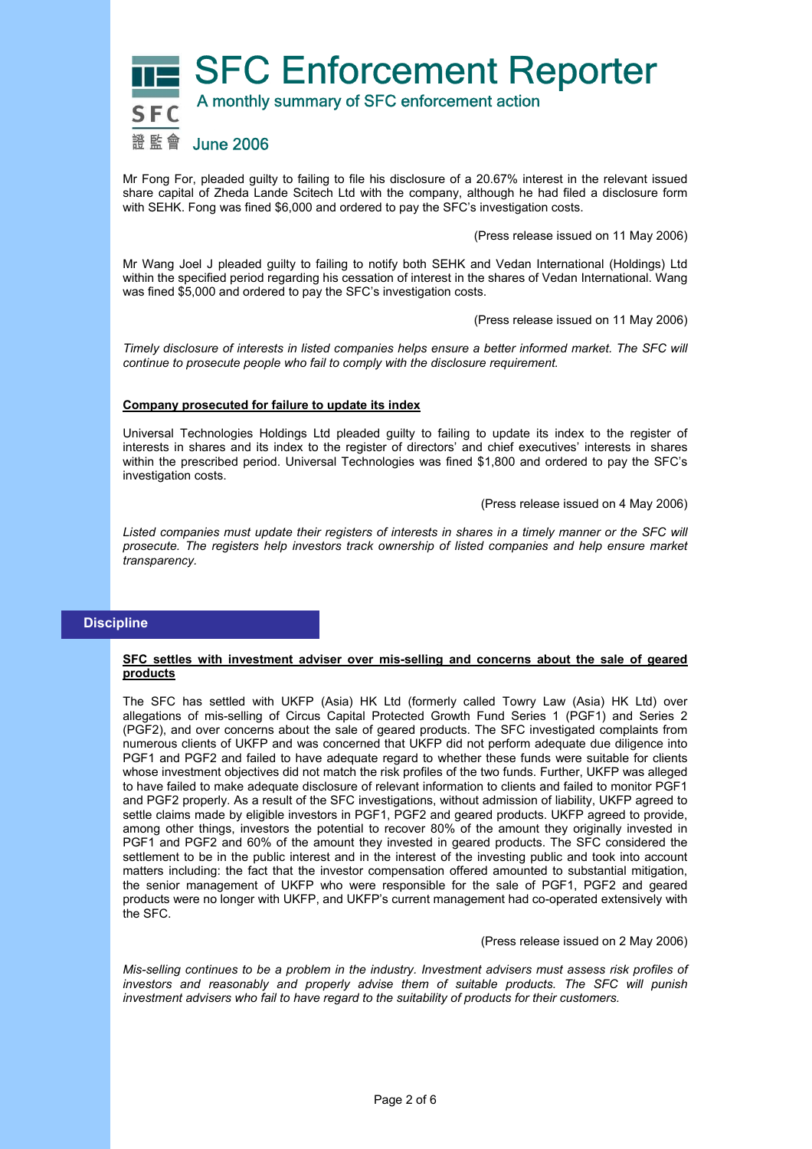

Mr Fong For, pleaded guilty to failing to file his disclosure of a 20.67% interest in the relevant issued share capital of Zheda Lande Scitech Ltd with the company, although he had filed a disclosure form with SEHK. Fong was fined \$6,000 and ordered to pay the SFC's investigation costs.

(Press release issued on 11 May 2006)

Mr Wang Joel J pleaded guilty to failing to notify both SEHK and Vedan International (Holdings) Ltd within the specified period regarding his cessation of interest in the shares of Vedan International. Wang was fined \$5,000 and ordered to pay the SFC's investigation costs.

(Press release issued on 11 May 2006)

*Timely disclosure of interests in listed companies helps ensure a better informed market. The SFC will continue to prosecute people who fail to comply with the disclosure requirement.* 

#### **Company prosecuted for failure to update its index**

Universal Technologies Holdings Ltd pleaded guilty to failing to update its index to the register of interests in shares and its index to the register of directors' and chief executives' interests in shares within the prescribed period. Universal Technologies was fined \$1,800 and ordered to pay the SFC's investigation costs.

(Press release issued on 4 May 2006)

Listed companies must update their registers of interests in shares in a timely manner or the SFC will *prosecute. The registers help investors track ownership of listed companies and help ensure market transparency.* 

# **Discipline**

## **SFC settles with investment adviser over mis-selling and concerns about the sale of geared products**

The SFC has settled with UKFP (Asia) HK Ltd (formerly called Towry Law (Asia) HK Ltd) over allegations of mis-selling of Circus Capital Protected Growth Fund Series 1 (PGF1) and Series 2 (PGF2), and over concerns about the sale of geared products. The SFC investigated complaints from numerous clients of UKFP and was concerned that UKFP did not perform adequate due diligence into PGF1 and PGF2 and failed to have adequate regard to whether these funds were suitable for clients whose investment objectives did not match the risk profiles of the two funds. Further, UKFP was alleged to have failed to make adequate disclosure of relevant information to clients and failed to monitor PGF1 and PGF2 properly. As a result of the SFC investigations, without admission of liability, UKFP agreed to settle claims made by eligible investors in PGF1, PGF2 and geared products. UKFP agreed to provide, among other things, investors the potential to recover 80% of the amount they originally invested in PGF1 and PGF2 and 60% of the amount they invested in geared products. The SFC considered the settlement to be in the public interest and in the interest of the investing public and took into account matters including: the fact that the investor compensation offered amounted to substantial mitigation, the senior management of UKFP who were responsible for the sale of PGF1, PGF2 and geared products were no longer with UKFP, and UKFP's current management had co-operated extensively with the SFC.

#### (Press release issued on 2 May 2006)

*Mis-selling continues to be a problem in the industry. Investment advisers must assess risk profiles of investors and reasonably and properly advise them of suitable products. The SFC will punish investment advisers who fail to have regard to the suitability of products for their customers.*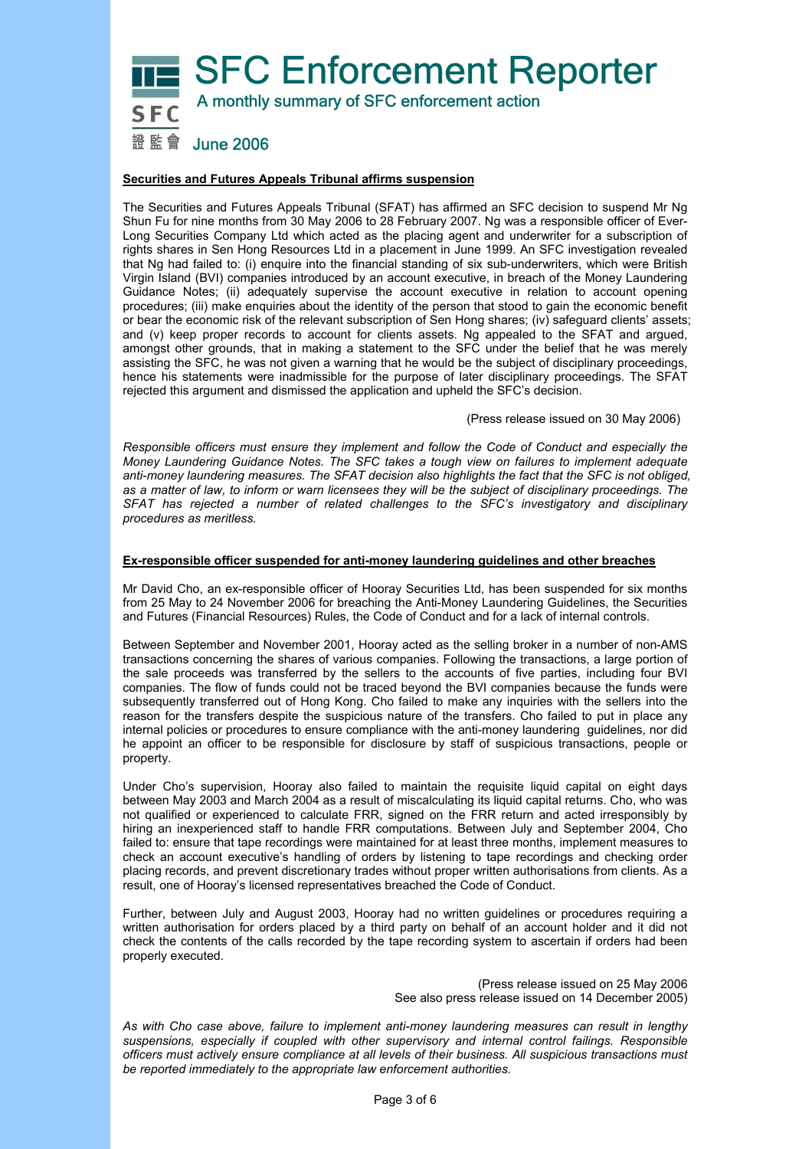

## **Securities and Futures Appeals Tribunal affirms suspension**

The Securities and Futures Appeals Tribunal (SFAT) has affirmed an SFC decision to suspend Mr Ng Shun Fu for nine months from 30 May 2006 to 28 February 2007. Ng was a responsible officer of Ever-Long Securities Company Ltd which acted as the placing agent and underwriter for a subscription of rights shares in Sen Hong Resources Ltd in a placement in June 1999. An SFC investigation revealed that Ng had failed to: (i) enquire into the financial standing of six sub-underwriters, which were British Virgin Island (BVI) companies introduced by an account executive, in breach of the Money Laundering Guidance Notes; (ii) adequately supervise the account executive in relation to account opening procedures; (iii) make enquiries about the identity of the person that stood to gain the economic benefit or bear the economic risk of the relevant subscription of Sen Hong shares; (iv) safeguard clients' assets; and (v) keep proper records to account for clients assets. Ng appealed to the SFAT and argued, amongst other grounds, that in making a statement to the SFC under the belief that he was merely assisting the SFC, he was not given a warning that he would be the subject of disciplinary proceedings, hence his statements were inadmissible for the purpose of later disciplinary proceedings. The SFAT rejected this argument and dismissed the application and upheld the SFC's decision.

(Press release issued on 30 May 2006)

*Responsible officers must ensure they implement and follow the Code of Conduct and especially the Money Laundering Guidance Notes. The SFC takes a tough view on failures to implement adequate anti-money laundering measures. The SFAT decision also highlights the fact that the SFC is not obliged, as a matter of law, to inform or warn licensees they will be the subject of disciplinary proceedings. The SFAT has rejected a number of related challenges to the SFC's investigatory and disciplinary procedures as meritless.* 

## **Ex-responsible officer suspended for anti-money laundering guidelines and other breaches**

Mr David Cho, an ex-responsible officer of Hooray Securities Ltd, has been suspended for six months from 25 May to 24 November 2006 for breaching the Anti-Money Laundering Guidelines, the Securities and Futures (Financial Resources) Rules, the Code of Conduct and for a lack of internal controls.

Between September and November 2001, Hooray acted as the selling broker in a number of non-AMS transactions concerning the shares of various companies. Following the transactions, a large portion of the sale proceeds was transferred by the sellers to the accounts of five parties, including four BVI companies. The flow of funds could not be traced beyond the BVI companies because the funds were subsequently transferred out of Hong Kong. Cho failed to make any inquiries with the sellers into the reason for the transfers despite the suspicious nature of the transfers. Cho failed to put in place any internal policies or procedures to ensure compliance with the anti-money laundering guidelines, nor did he appoint an officer to be responsible for disclosure by staff of suspicious transactions, people or property.

Under Cho's supervision, Hooray also failed to maintain the requisite liquid capital on eight days between May 2003 and March 2004 as a result of miscalculating its liquid capital returns. Cho, who was not qualified or experienced to calculate FRR, signed on the FRR return and acted irresponsibly by hiring an inexperienced staff to handle FRR computations. Between July and September 2004, Cho failed to: ensure that tape recordings were maintained for at least three months, implement measures to check an account executive's handling of orders by listening to tape recordings and checking order placing records, and prevent discretionary trades without proper written authorisations from clients. As a result, one of Hooray's licensed representatives breached the Code of Conduct.

Further, between July and August 2003, Hooray had no written guidelines or procedures requiring a written authorisation for orders placed by a third party on behalf of an account holder and it did not check the contents of the calls recorded by the tape recording system to ascertain if orders had been properly executed.

> (Press release issued on 25 May 2006 See also press release issued on 14 December 2005)

*As with Cho case above, failure to implement anti-money laundering measures can result in lengthy suspensions, especially if coupled with other supervisory and internal control failings. Responsible officers must actively ensure compliance at all levels of their business. All suspicious transactions must be reported immediately to the appropriate law enforcement authorities.*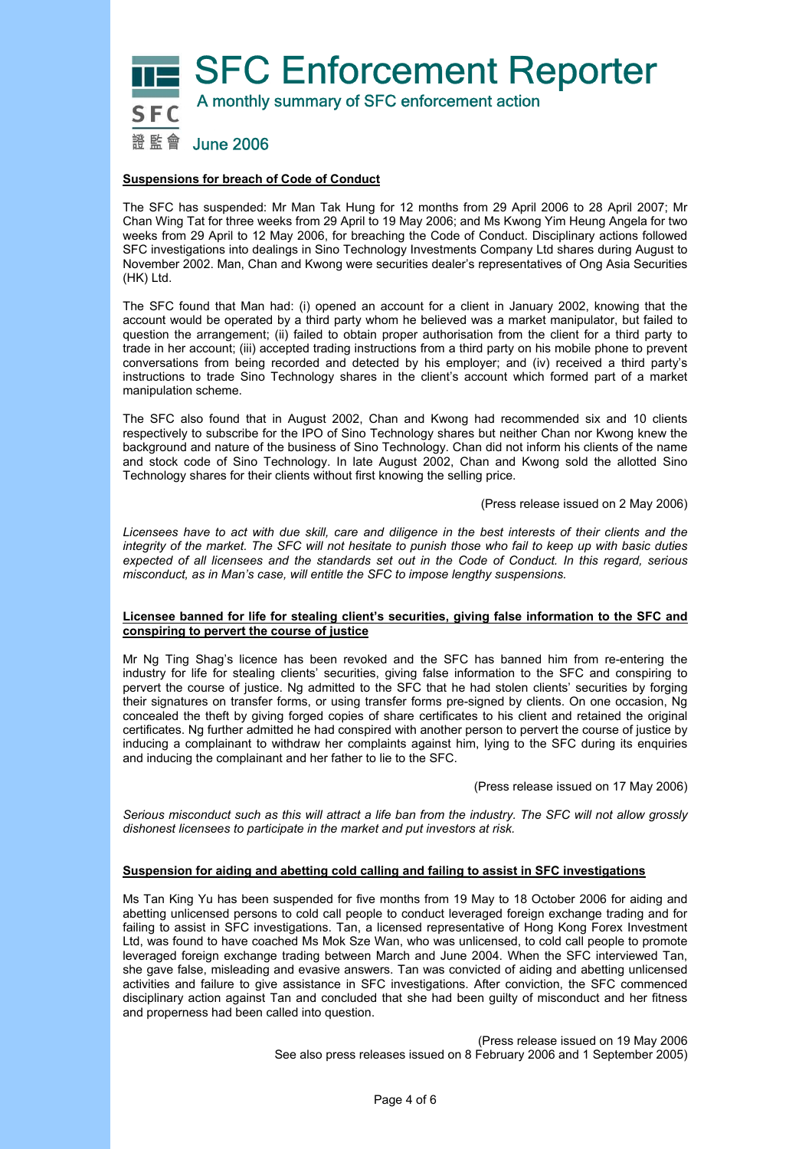SFC Enforcement Reporter



A monthly summary of SFC enforcement action

# 證監會 June 2006

# **Suspensions for breach of Code of Conduct**

The SFC has suspended: Mr Man Tak Hung for 12 months from 29 April 2006 to 28 April 2007; Mr Chan Wing Tat for three weeks from 29 April to 19 May 2006; and Ms Kwong Yim Heung Angela for two weeks from 29 April to 12 May 2006, for breaching the Code of Conduct. Disciplinary actions followed SFC investigations into dealings in Sino Technology Investments Company Ltd shares during August to November 2002. Man, Chan and Kwong were securities dealer's representatives of Ong Asia Securities (HK) Ltd.

The SFC found that Man had: (i) opened an account for a client in January 2002, knowing that the account would be operated by a third party whom he believed was a market manipulator, but failed to question the arrangement; (ii) failed to obtain proper authorisation from the client for a third party to trade in her account; (iii) accepted trading instructions from a third party on his mobile phone to prevent conversations from being recorded and detected by his employer; and (iv) received a third party's instructions to trade Sino Technology shares in the client's account which formed part of a market manipulation scheme.

The SFC also found that in August 2002, Chan and Kwong had recommended six and 10 clients respectively to subscribe for the IPO of Sino Technology shares but neither Chan nor Kwong knew the background and nature of the business of Sino Technology. Chan did not inform his clients of the name and stock code of Sino Technology. In late August 2002, Chan and Kwong sold the allotted Sino Technology shares for their clients without first knowing the selling price.

(Press release issued on 2 May 2006)

*Licensees have to act with due skill, care and diligence in the best interests of their clients and the integrity of the market. The SFC will not hesitate to punish those who fail to keep up with basic duties expected of all licensees and the standards set out in the Code of Conduct. In this regard, serious misconduct, as in Man's case, will entitle the SFC to impose lengthy suspensions.* 

## **Licensee banned for life for stealing client's securities, giving false information to the SFC and conspiring to pervert the course of justice**

Mr Ng Ting Shag's licence has been revoked and the SFC has banned him from re-entering the industry for life for stealing clients' securities, giving false information to the SFC and conspiring to pervert the course of justice. Ng admitted to the SFC that he had stolen clients' securities by forging their signatures on transfer forms, or using transfer forms pre-signed by clients. On one occasion, Ng concealed the theft by giving forged copies of share certificates to his client and retained the original certificates. Ng further admitted he had conspired with another person to pervert the course of justice by inducing a complainant to withdraw her complaints against him, lying to the SFC during its enquiries and inducing the complainant and her father to lie to the SFC.

(Press release issued on 17 May 2006)

*Serious misconduct such as this will attract a life ban from the industry. The SFC will not allow grossly dishonest licensees to participate in the market and put investors at risk.* 

## **Suspension for aiding and abetting cold calling and failing to assist in SFC investigations**

Ms Tan King Yu has been suspended for five months from 19 May to 18 October 2006 for aiding and abetting unlicensed persons to cold call people to conduct leveraged foreign exchange trading and for failing to assist in SFC investigations. Tan, a licensed representative of Hong Kong Forex Investment Ltd, was found to have coached Ms Mok Sze Wan, who was unlicensed, to cold call people to promote leveraged foreign exchange trading between March and June 2004. When the SFC interviewed Tan, she gave false, misleading and evasive answers. Tan was convicted of aiding and abetting unlicensed activities and failure to give assistance in SFC investigations. After conviction, the SFC commenced disciplinary action against Tan and concluded that she had been guilty of misconduct and her fitness and properness had been called into question.

> (Press release issued on 19 May 2006 See also press releases issued on 8 February 2006 and 1 September 2005)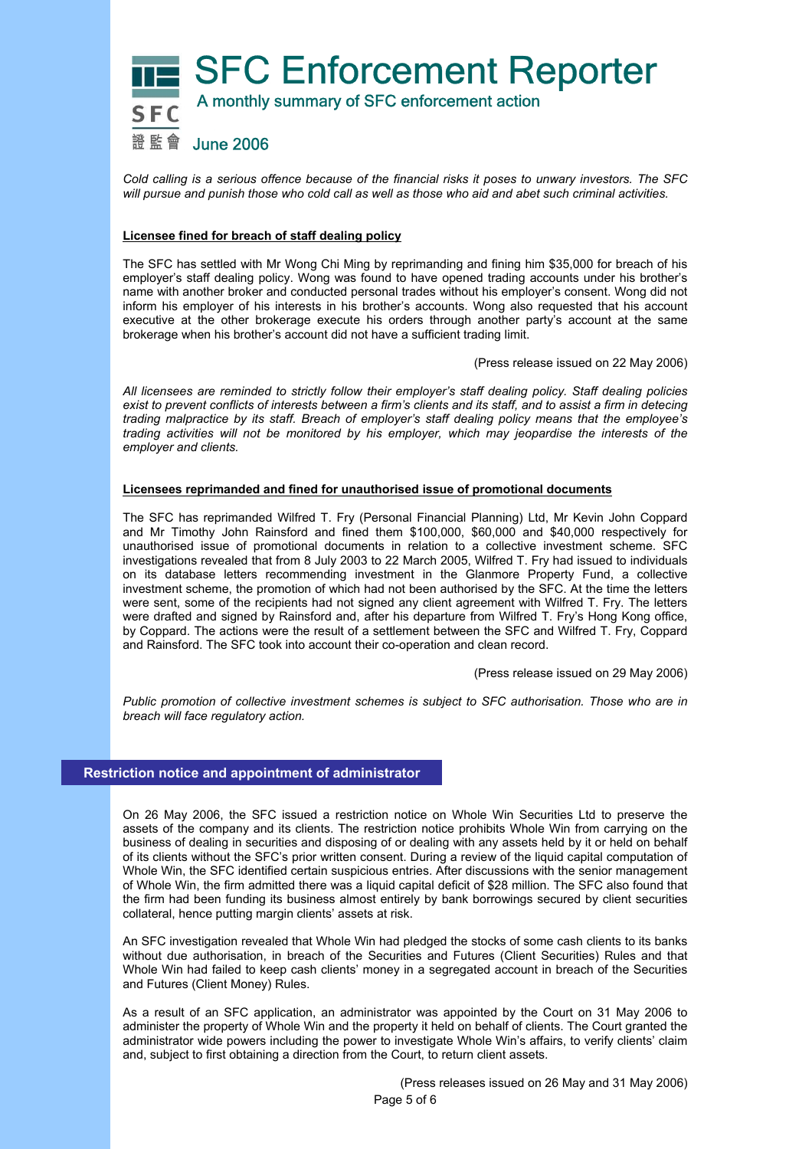

*Cold calling is a serious offence because of the financial risks it poses to unwary investors. The SFC will pursue and punish those who cold call as well as those who aid and abet such criminal activities.* 

# **Licensee fined for breach of staff dealing policy**

The SFC has settled with Mr Wong Chi Ming by reprimanding and fining him \$35,000 for breach of his employer's staff dealing policy. Wong was found to have opened trading accounts under his brother's name with another broker and conducted personal trades without his employer's consent. Wong did not inform his employer of his interests in his brother's accounts. Wong also requested that his account executive at the other brokerage execute his orders through another party's account at the same brokerage when his brother's account did not have a sufficient trading limit.

(Press release issued on 22 May 2006)

*All licensees are reminded to strictly follow their employer's staff dealing policy. Staff dealing policies exist to prevent conflicts of interests between a firm's clients and its staff, and to assist a firm in detecing trading malpractice by its staff. Breach of employer's staff dealing policy means that the employee's trading activities will not be monitored by his employer, which may jeopardise the interests of the employer and clients.* 

## **Licensees reprimanded and fined for unauthorised issue of promotional documents**

The SFC has reprimanded Wilfred T. Fry (Personal Financial Planning) Ltd, Mr Kevin John Coppard and Mr Timothy John Rainsford and fined them \$100,000, \$60,000 and \$40,000 respectively for unauthorised issue of promotional documents in relation to a collective investment scheme. SFC investigations revealed that from 8 July 2003 to 22 March 2005, Wilfred T. Fry had issued to individuals on its database letters recommending investment in the Glanmore Property Fund, a collective investment scheme, the promotion of which had not been authorised by the SFC. At the time the letters were sent, some of the recipients had not signed any client agreement with Wilfred T. Fry. The letters were drafted and signed by Rainsford and, after his departure from Wilfred T. Fry's Hong Kong office, by Coppard. The actions were the result of a settlement between the SFC and Wilfred T. Fry, Coppard and Rainsford. The SFC took into account their co-operation and clean record.

(Press release issued on 29 May 2006)

*Public promotion of collective investment schemes is subject to SFC authorisation. Those who are in breach will face regulatory action.* 

## **Restriction notice and appointment of administrator**

On 26 May 2006, the SFC issued a restriction notice on Whole Win Securities Ltd to preserve the assets of the company and its clients. The restriction notice prohibits Whole Win from carrying on the business of dealing in securities and disposing of or dealing with any assets held by it or held on behalf of its clients without the SFC's prior written consent. During a review of the liquid capital computation of Whole Win, the SFC identified certain suspicious entries. After discussions with the senior management of Whole Win, the firm admitted there was a liquid capital deficit of \$28 million. The SFC also found that the firm had been funding its business almost entirely by bank borrowings secured by client securities collateral, hence putting margin clients' assets at risk.

An SFC investigation revealed that Whole Win had pledged the stocks of some cash clients to its banks without due authorisation, in breach of the Securities and Futures (Client Securities) Rules and that Whole Win had failed to keep cash clients' money in a segregated account in breach of the Securities and Futures (Client Money) Rules.

As a result of an SFC application, an administrator was appointed by the Court on 31 May 2006 to administer the property of Whole Win and the property it held on behalf of clients. The Court granted the administrator wide powers including the power to investigate Whole Win's affairs, to verify clients' claim and, subject to first obtaining a direction from the Court, to return client assets.

> Page 5 of 6 (Press releases issued on 26 May and 31 May 2006)